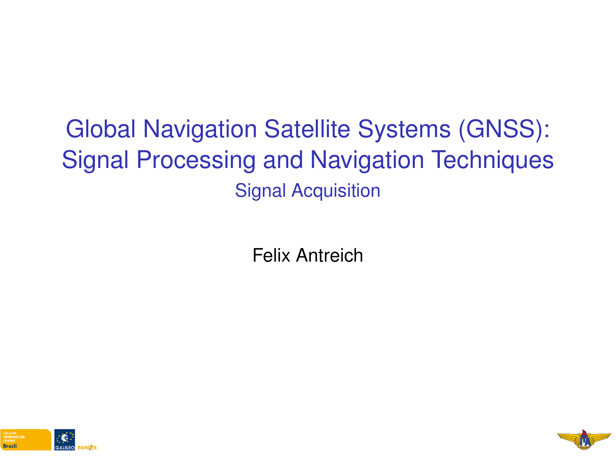# <span id="page-0-0"></span>Global Navigation Satellite Systems (GNSS): Signal Processing and Navigation Techniques Signal Acquisition

Felix Antreich



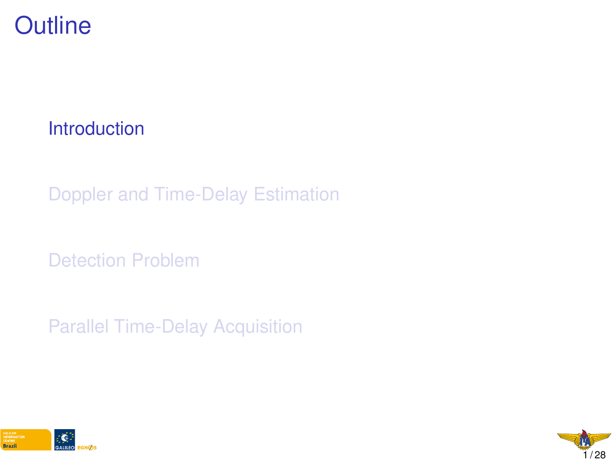#### <span id="page-1-0"></span>**Outline**

**[Introduction](#page-1-0)** 

[Doppler and Time-Delay Estimation](#page-9-0)

[Detection Problem](#page-0-0)

[Parallel Time-Delay Acquisition](#page-0-0)



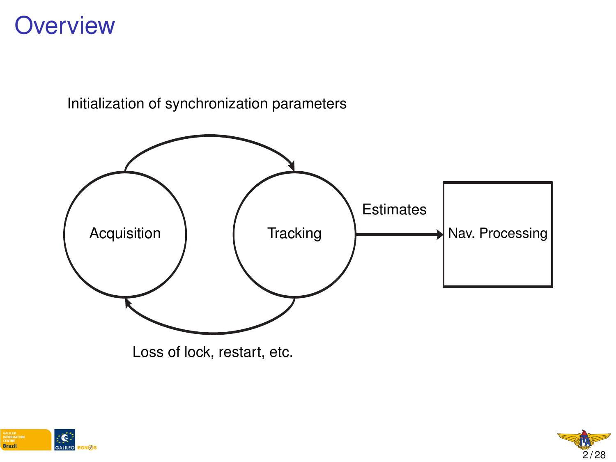#### **Overview**



Initialization of synchronization parameters

Loss of lock, restart, etc.



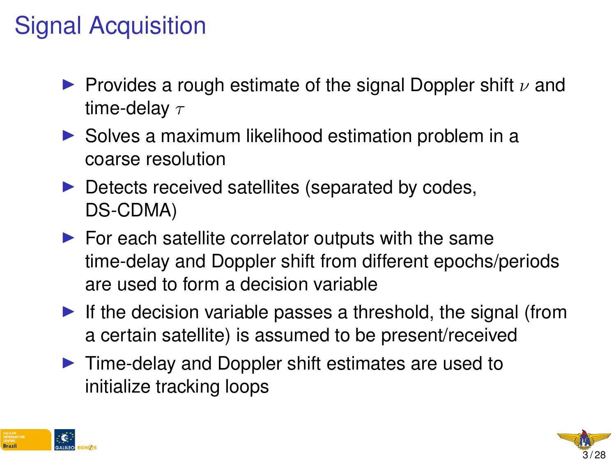# Signal Acquisition

- **Provides a rough estimate of the signal Doppler shift**  $\nu$  and time-delay  $\tau$
- $\triangleright$  Solves a maximum likelihood estimation problem in a coarse resolution
- $\triangleright$  Detects received satellites (separated by codes, DS-CDMA)
- $\blacktriangleright$  For each satellite correlator outputs with the same time-delay and Doppler shift from different epochs/periods are used to form a decision variable
- If the decision variable passes a threshold, the signal (from a certain satellite) is assumed to be present/received
- $\blacktriangleright$  Time-delay and Doppler shift estimates are used to initialize tracking loops



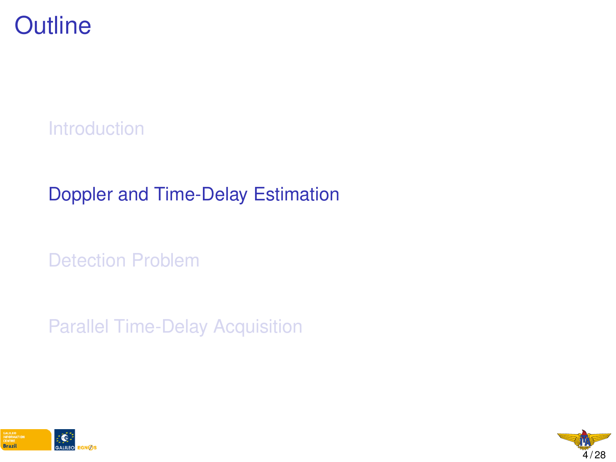

[Introduction](#page-1-0)

#### [Doppler and Time-Delay Estimation](#page-9-0)

[Detection Problem](#page-0-0)

[Parallel Time-Delay Acquisition](#page-0-0)



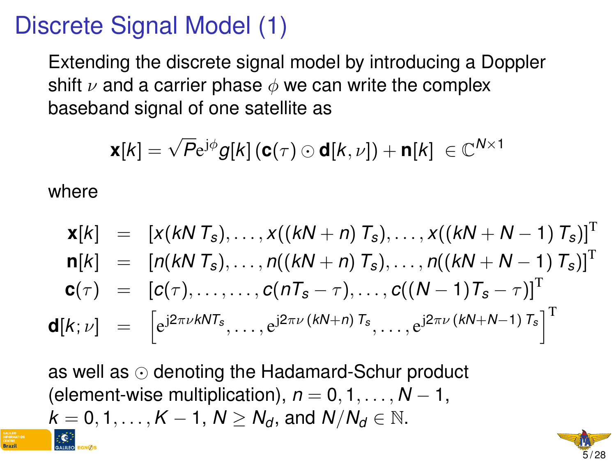## Discrete Signal Model (1)

Extending the discrete signal model by introducing a Doppler shift  $\nu$  and a carrier phase  $\phi$  we can write the complex baseband signal of one satellite as

$$
\mathbf{x}[k] = \sqrt{P} \mathrm{e}^{\mathrm{j} \phi} g[k] \left( \mathbf{c}(\tau) \odot \mathbf{d}[k,\nu] \right) + \mathbf{n}[k] \ \in \mathbb{C}^{N \times 1}
$$

where

$$
\mathbf{x}[k] = [x(kN T_s),...,x((kN + n) T_s),...,x((kN + N - 1) T_s)]^T \n\mathbf{n}[k] = [n(kN T_s),...,n((kN + n) T_s),...,n((kN + N - 1) T_s)]^T \n\mathbf{c}(\tau) = [c(\tau),...,...,c(nT_s - \tau),...,c((N - 1)T_s - \tau)]^T \n\mathbf{d}[k; \nu] = [e^{j2\pi\nu kNT_s},...,e^{j2\pi\nu(kN + n) T_s},...,e^{j2\pi\nu(kN + N - 1) T_s}]^T
$$

as well as  $\odot$  denoting the Hadamard-Schur product (element-wise multiplication),  $n = 0, 1, \ldots, N - 1$ ,  $k = 0, 1, \ldots, K - 1, N > N_d$ , and  $N/N_d \in \mathbb{N}$ .

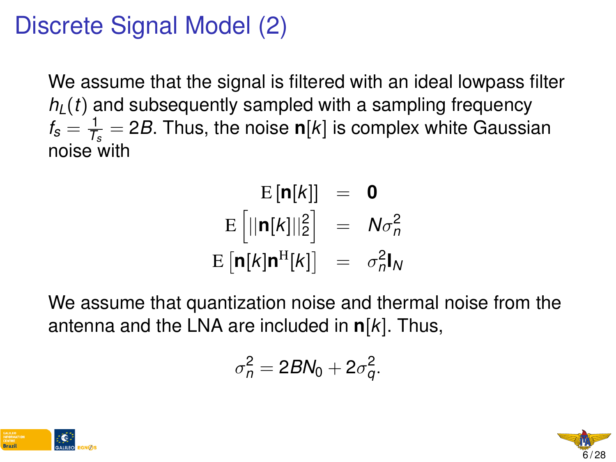## Discrete Signal Model (2)

We assume that the signal is filtered with an ideal lowpass filter  $h_l(t)$  and subsequently sampled with a sampling frequency  $f_{\rm s}=\frac{1}{\mathcal{T}_s}$ *Ts* = 2*B*. Thus, the noise **n**[*k*] is complex white Gaussian noise with

$$
E[\mathbf{n}[k]] = \mathbf{0}
$$
  
\n
$$
E[||\mathbf{n}[k]||_2^2] = N\sigma_n^2
$$
  
\n
$$
E[\mathbf{n}[k]\mathbf{n}^H[k]] = \sigma_n^2 \mathbf{l}_N
$$

We assume that quantization noise and thermal noise from the antenna and the LNA are included in **n**[*k*]. Thus,

$$
\sigma_n^2 = 2BN_0 + 2\sigma_q^2.
$$



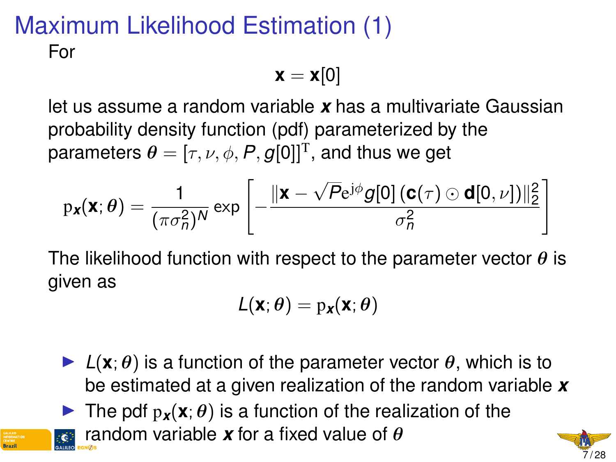#### Maximum Likelihood Estimation (1) For

$$
\mathbf{x} = \mathbf{x}[0]
$$

let us assume a random variable *x* has a multivariate Gaussian probability density function (pdf) parameterized by the parameters  $\boldsymbol{\theta} = [\tau, \nu, \phi, \boldsymbol{P}, \boldsymbol{g}[0]]^\text{T}$ , and thus we get

$$
p_{\boldsymbol{x}}(\boldsymbol{x};\boldsymbol{\theta}) = \frac{1}{(\pi \sigma_n^2)^N} \exp\left[-\frac{\|\boldsymbol{x} - \sqrt{P}e^{j\phi}g[0]\left(\mathbf{c}(\tau) \odot \mathbf{d}[0,\nu]\right)\|_2^2}{\sigma_n^2}\right]
$$

The likelihood function with respect to the parameter vector  $\theta$  is given as

$$
L(\mathbf{x};\theta) = p_{\mathbf{x}}(\mathbf{x};\theta)
$$

- $\blacktriangleright$   $L(\mathbf{x}; \theta)$  is a function of the parameter vector  $\theta$ , which is to be estimated at a given realization of the random variable *x*
- **IDED** The pdf  $p_x(x; \theta)$  is a function of the realization of the

random variable *x* for a fixed value of θ

$$
\begin{array}{c}\n\hline\n\text{M} \\
\hline\n\text{7/28}\n\end{array}
$$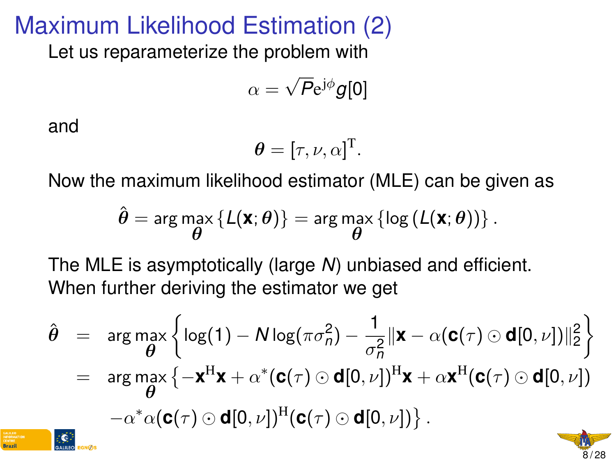#### Maximum Likelihood Estimation (2)

Let us reparameterize the problem with

$$
\alpha=\sqrt{P}e^{j\phi}g[0]
$$

and

$$
\boldsymbol{\theta} = [\tau, \nu, \alpha]^{\mathrm{T}}.
$$

Now the maximum likelihood estimator (MLE) can be given as

$$
\hat{\boldsymbol{\theta}} = \arg \max_{\boldsymbol{\theta}} \left\{ \mathcal{L}(\mathbf{X}; \boldsymbol{\theta}) \right\} = \arg \max_{\boldsymbol{\theta}} \left\{ \log \left( \mathcal{L}(\mathbf{X}; \boldsymbol{\theta}) \right) \right\}.
$$

The MLE is asymptotically (large *N*) unbiased and efficient. When further deriving the estimator we get

$$
\hat{\theta} = \arg \max_{\theta} \left\{ \log(1) - N \log(\pi \sigma_n^2) - \frac{1}{\sigma_n^2} ||\mathbf{x} - \alpha(\mathbf{c}(\tau) \odot \mathbf{d}[0, \nu])||_2^2 \right\}
$$
\n
$$
= \arg \max_{\theta} \left\{ -\mathbf{x}^H \mathbf{x} + \alpha^* (\mathbf{c}(\tau) \odot \mathbf{d}[0, \nu])^H \mathbf{x} + \alpha \mathbf{x}^H (\mathbf{c}(\tau) \odot \mathbf{d}[0, \nu]) \right\}
$$
\n
$$
- \alpha^* \alpha (\mathbf{c}(\tau) \odot \mathbf{d}[0, \nu])^H (\mathbf{c}(\tau) \odot \mathbf{d}[0, \nu]) \}.
$$

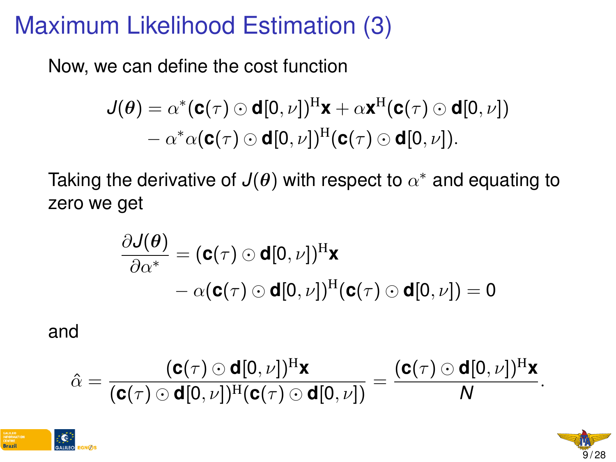#### <span id="page-9-0"></span>Maximum Likelihood Estimation (3)

Now, we can define the cost function

$$
J(\theta) = \alpha^*(\mathbf{c}(\tau) \odot \mathbf{d}[0,\nu])^H \mathbf{x} + \alpha \mathbf{x}^H(\mathbf{c}(\tau) \odot \mathbf{d}[0,\nu])
$$

$$
- \alpha^* \alpha(\mathbf{c}(\tau) \odot \mathbf{d}[0,\nu])^H(\mathbf{c}(\tau) \odot \mathbf{d}[0,\nu]).
$$

Taking the derivative of  $J(\boldsymbol{\theta})$  with respect to  $\alpha^*$  and equating to zero we get

$$
\frac{\partial \mathcal{J}(\boldsymbol{\theta})}{\partial \alpha^*} = (\mathbf{c}(\tau) \odot \mathbf{d}[0, \nu])^{\mathrm{H}} \mathbf{x} \n- \alpha(\mathbf{c}(\tau) \odot \mathbf{d}[0, \nu])^{\mathrm{H}} (\mathbf{c}(\tau) \odot \mathbf{d}[0, \nu]) = 0
$$

#### and

$$
\hat{\alpha} = \frac{(\mathbf{c}(\tau) \odot \mathbf{d}[0,\nu])^{\mathrm{H}} \mathbf{x}}{(\mathbf{c}(\tau) \odot \mathbf{d}[0,\nu])^{\mathrm{H}} (\mathbf{c}(\tau) \odot \mathbf{d}[0,\nu])} = \frac{(\mathbf{c}(\tau) \odot \mathbf{d}[0,\nu])^{\mathrm{H}} \mathbf{x}}{N}.
$$



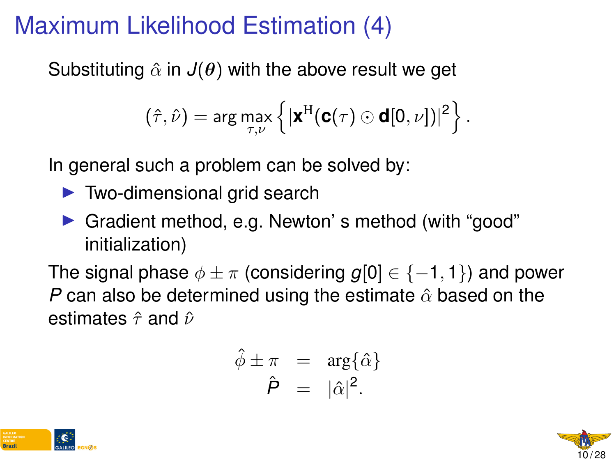# Maximum Likelihood Estimation (4)

Substituting  $\hat{\alpha}$  in  $J(\theta)$  with the above result we get

$$
\left(\hat{\tau},\hat{\nu}\right)=\arg\max_{\tau,\nu}\left\{|\boldsymbol{x}^H(\boldsymbol{c}(\tau)\odot\boldsymbol{d}[0,\nu])|^2\right\}.
$$

In general such a problem can be solved by:

- $\blacktriangleright$  Two-dimensional grid search
- ▶ Gradient method, e.g. Newton's method (with "good" initialization)

The signal phase  $\phi \pm \pi$  (considering  $g[0] \in \{-1,1\}$ ) and power *P* can also be determined using the estimate  $\hat{\alpha}$  based on the estimates  $\hat{\tau}$  and  $\hat{\nu}$ 

$$
\hat{\phi} \pm \pi = \arg\{\hat{\alpha}\}\
$$

$$
\hat{P} = |\hat{\alpha}|^2.
$$



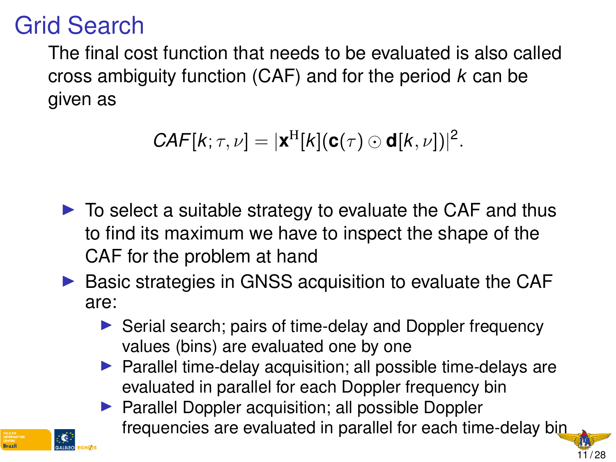#### Grid Search

**Rrazi** 

The final cost function that needs to be evaluated is also called cross ambiguity function (CAF) and for the period *k* can be given as

$$
CAF[k; \tau, \nu] = |\mathbf{x}^H[k](\mathbf{c}(\tau) \odot \mathbf{d}[k, \nu])|^2.
$$

- $\triangleright$  To select a suitable strategy to evaluate the CAF and thus to find its maximum we have to inspect the shape of the CAF for the problem at hand
- $\triangleright$  Basic strategies in GNSS acquisition to evaluate the CAF are:
	- $\triangleright$  Serial search; pairs of time-delay and Doppler frequency values (bins) are evaluated one by one
	- $\blacktriangleright$  Parallel time-delay acquisition; all possible time-delays are evaluated in parallel for each Doppler frequency bin
	- $\blacktriangleright$  Parallel Doppler acquisition; all possible Doppler frequencies are evaluated in parallel for each time-delay bin

11 / 28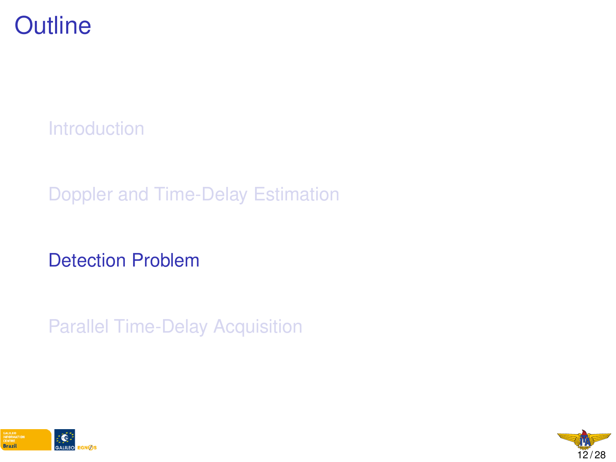

[Introduction](#page-1-0)

[Doppler and Time-Delay Estimation](#page-9-0)

[Detection Problem](#page-0-0)

[Parallel Time-Delay Acquisition](#page-0-0)



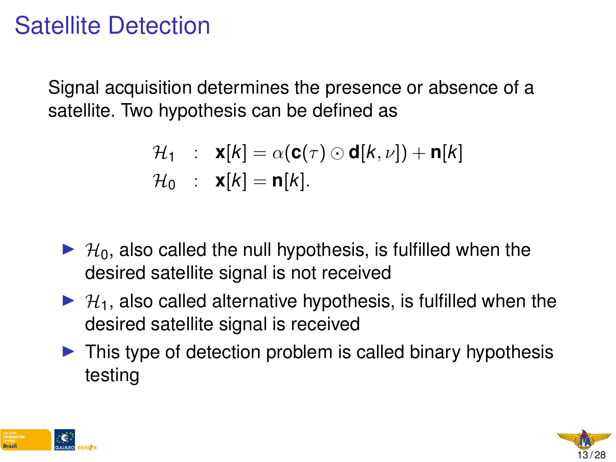### Satellite Detection

Signal acquisition determines the presence or absence of a satellite. Two hypothesis can be defined as

$$
\mathcal{H}_1 : \mathbf{x}[k] = \alpha(\mathbf{c}(\tau) \odot \mathbf{d}[k, \nu]) + \mathbf{n}[k]
$$
  

$$
\mathcal{H}_0 : \mathbf{x}[k] = \mathbf{n}[k].
$$

- $\blacktriangleright$   $\mathcal{H}_0$ , also called the null hypothesis, is fulfilled when the desired satellite signal is not received
- $\blacktriangleright$   $\mathcal{H}_1$ , also called alternative hypothesis, is fulfilled when the desired satellite signal is received
- $\triangleright$  This type of detection problem is called binary hypothesis testing



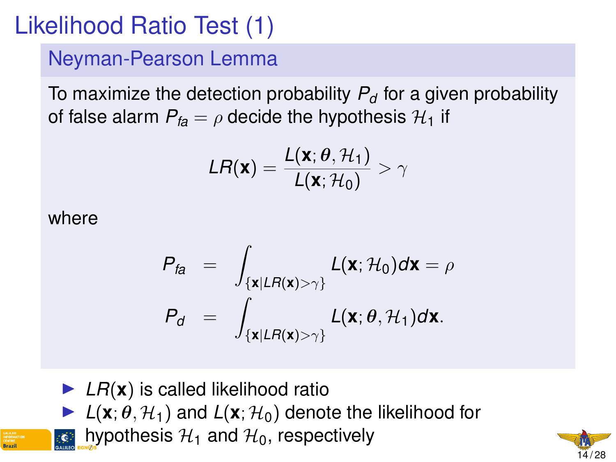# Likelihood Ratio Test (1)

Neyman-Pearson Lemma

To maximize the detection probability  $P_d$  for a given probability of false alarm  $P_{fa} = \rho$  decide the hypothesis  $\mathcal{H}_1$  if

$$
LR(\mathbf{x}) = \frac{L(\mathbf{x}; \theta, \mathcal{H}_1)}{L(\mathbf{x}; \mathcal{H}_0)} > \gamma
$$

where

$$
P_{fa} = \int_{\{\mathbf{x}|LR(\mathbf{x})>\gamma\}} L(\mathbf{x}; \mathcal{H}_0) d\mathbf{x} = \rho
$$

$$
P_d = \int_{\{\mathbf{x}|LR(\mathbf{x})>\gamma\}} L(\mathbf{x}; \theta, \mathcal{H}_1) d\mathbf{x}.
$$

 $\blacktriangleright$  *LR*( $\bm{x}$ ) is called likelihood ratio

 $\blacktriangleright$   $L(\mathbf{x}; \theta, \mathcal{H}_1)$  and  $L(\mathbf{x}; \mathcal{H}_0)$  denote the likelihood for

hypothesis  $H_1$  and  $H_0$ , respectively

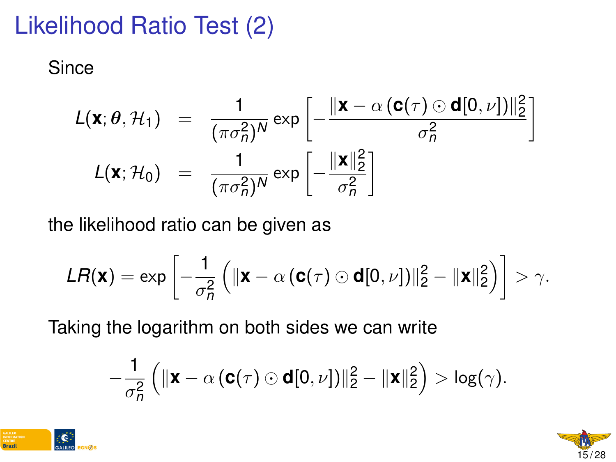# Likelihood Ratio Test (2)

**Since** 

$$
L(\mathbf{x}; \theta, \mathcal{H}_1) = \frac{1}{(\pi \sigma_n^2)^N} \exp \left[ -\frac{\|\mathbf{x} - \alpha(\mathbf{c}(\tau) \odot \mathbf{d}[0, \nu])\|_2^2}{\sigma_n^2} \right]
$$

$$
L(\mathbf{x}; \mathcal{H}_0) = \frac{1}{(\pi \sigma_n^2)^N} \exp \left[ -\frac{\|\mathbf{x}\|_2^2}{\sigma_n^2} \right]
$$

the likelihood ratio can be given as

$$
\textit{LR}(\textbf{x}) = \exp\left[-\frac{1}{\sigma_n^2}\left(\|\textbf{x} - \alpha\left(\textbf{c}(\tau) \odot \textbf{d}[0,\nu]\right)\|_2^2 - \|\textbf{x}\|_2^2\right)\right] > \gamma.
$$

Taking the logarithm on both sides we can write

$$
-\frac{1}{\sigma_n^2}\left(\|\mathbf{x}-\alpha\left(\mathbf{C}(\tau) \odot \mathbf{d}[0,\nu]\right)\|_2^2 - \|\mathbf{x}\|_2^2\right) > \log(\gamma).
$$



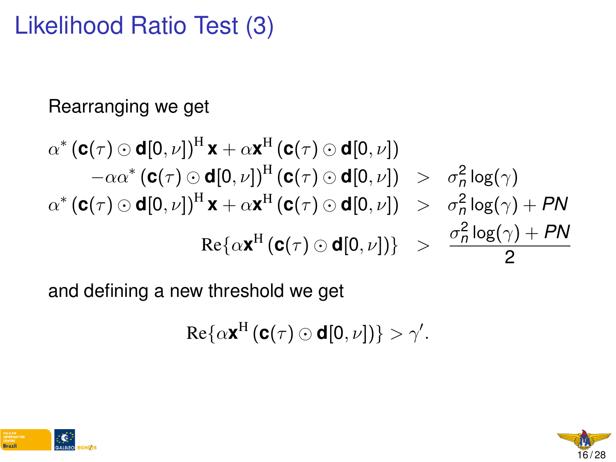## Likelihood Ratio Test (3)

#### Rearranging we get

$$
\alpha^* \left( \mathbf{c}(\tau) \odot \mathbf{d}[0,\nu] \right)^{\mathrm{H}} \mathbf{x} + \alpha \mathbf{x}^{\mathrm{H}} \left( \mathbf{c}(\tau) \odot \mathbf{d}[0,\nu] \right) \n- \alpha \alpha^* \left( \mathbf{c}(\tau) \odot \mathbf{d}[0,\nu] \right)^{\mathrm{H}} \left( \mathbf{c}(\tau) \odot \mathbf{d}[0,\nu] \right) > \sigma_n^2 \log(\gamma) \n\alpha^* \left( \mathbf{c}(\tau) \odot \mathbf{d}[0,\nu] \right)^{\mathrm{H}} \mathbf{x} + \alpha \mathbf{x}^{\mathrm{H}} \left( \mathbf{c}(\tau) \odot \mathbf{d}[0,\nu] \right) > \sigma_n^2 \log(\gamma) + PN \n\text{Re} \{ \alpha \mathbf{x}^{\mathrm{H}} \left( \mathbf{c}(\tau) \odot \mathbf{d}[0,\nu] \right) \} > \frac{\sigma_n^2 \log(\gamma) + PN}{2}
$$

and defining a new threshold we get

$$
\mathrm{Re}\{\alpha\mathbf{x}^{\mathrm{H}}\left(\mathbf{C}(\tau)\odot\mathbf{d}[0,\nu]\right)\}>\gamma'.
$$



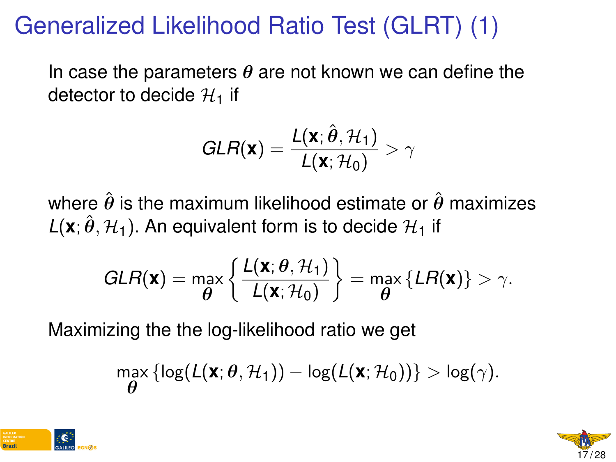# Generalized Likelihood Ratio Test (GLRT) (1)

In case the parameters  $\theta$  are not known we can define the detector to decide  $\mathcal{H}_1$  if

$$
GLR(\mathbf{x}) = \frac{L(\mathbf{x}; \hat{\boldsymbol{\theta}}, \mathcal{H}_1)}{L(\mathbf{x}; \mathcal{H}_0)} > \gamma
$$

where  $\hat{\theta}$  is the maximum likelihood estimate or  $\hat{\theta}$  maximizes  $L(\mathbf{x}; \hat{\theta}, \mathcal{H}_1)$ . An equivalent form is to decide  $\mathcal{H}_1$  if

$$
GLR(\mathbf{x}) = \max_{\boldsymbol{\theta}} \left\{ \frac{L(\mathbf{x}; \boldsymbol{\theta}, \mathcal{H}_1)}{L(\mathbf{x}; \mathcal{H}_0)} \right\} = \max_{\boldsymbol{\theta}} \{ LR(\mathbf{x}) \} > \gamma.
$$

Maximizing the the log-likelihood ratio we get

$$
\max_{\boldsymbol{\theta}}\left\{\log(L(\mathbf{x};\boldsymbol{\theta},\mathcal{H}_1)) - \log(L(\mathbf{x};\mathcal{H}_0))\right\} > \log(\gamma).
$$



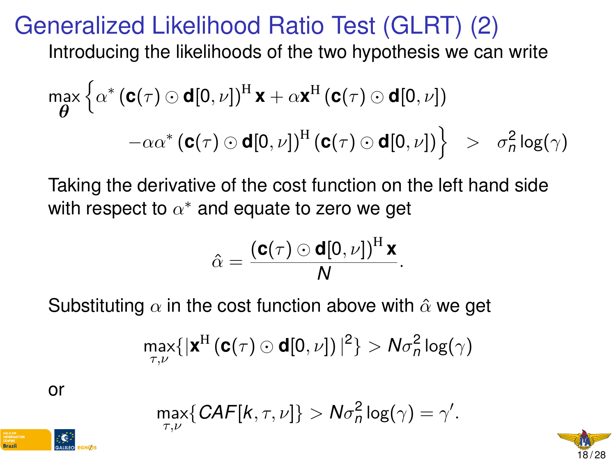#### Generalized Likelihood Ratio Test (GLRT) (2)

Introducing the likelihoods of the two hypothesis we can write

$$
\max_{\boldsymbol{\theta}} \left\{ \alpha^* \left( \mathbf{c}(\tau) \odot \mathbf{d}[0, \nu] \right)^{\mathrm{H}} \mathbf{x} + \alpha \mathbf{x}^{\mathrm{H}} \left( \mathbf{c}(\tau) \odot \mathbf{d}[0, \nu] \right) \right.\left. - \alpha \alpha^* \left( \mathbf{c}(\tau) \odot \mathbf{d}[0, \nu] \right)^{\mathrm{H}} \left( \mathbf{c}(\tau) \odot \mathbf{d}[0, \nu] \right) \right\} \quad > \quad \sigma_n^2 \log(\gamma)
$$

Taking the derivative of the cost function on the left hand side with respect to  $\alpha^*$  and equate to zero we get

$$
\hat{\alpha} = \frac{(\mathbf{C}(\tau) \odot \mathbf{d}[0,\nu])^{\mathrm{H}} \mathbf{x}}{N}.
$$

Substituting  $\alpha$  in the cost function above with  $\hat{\alpha}$  we get

$$
\max_{\tau,\nu}\{|\text{\textbf{x}}^{\text{H}}\left(\text{\textbf{c}}(\tau) \odot \text{\textbf{d}}[0,\nu]\right)|^2\} > N \sigma^2_n \log(\gamma)
$$

or

$$
\max_{\tau,\nu}\{ \textit{CAF}[k,\tau,\nu]\} > N\sigma_n^2\log(\gamma) = \gamma'.
$$

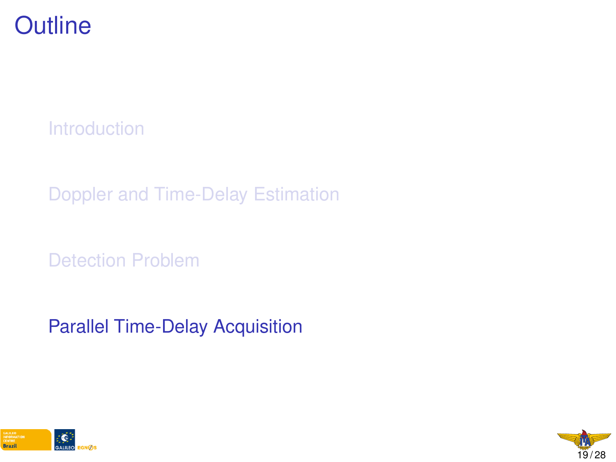

[Introduction](#page-1-0)

[Doppler and Time-Delay Estimation](#page-9-0)

[Detection Problem](#page-0-0)

[Parallel Time-Delay Acquisition](#page-0-0)



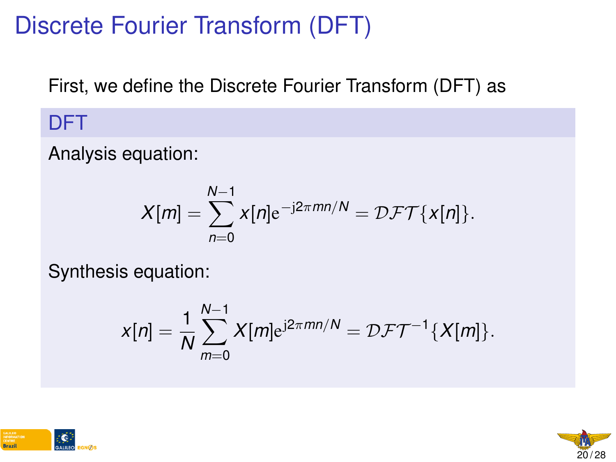# Discrete Fourier Transform (DFT)

First, we define the Discrete Fourier Transform (DFT) as

#### DFT

Analysis equation:

$$
X[m] = \sum_{n=0}^{N-1} x[n]e^{-j2\pi mn/N} = \mathcal{DFT}\{x[n]\}.
$$

Synthesis equation:

$$
x[n] = \frac{1}{N} \sum_{m=0}^{N-1} X[m] e^{j2\pi mn/N} = \mathcal{DFT}^{-1} \{X[m]\}.
$$



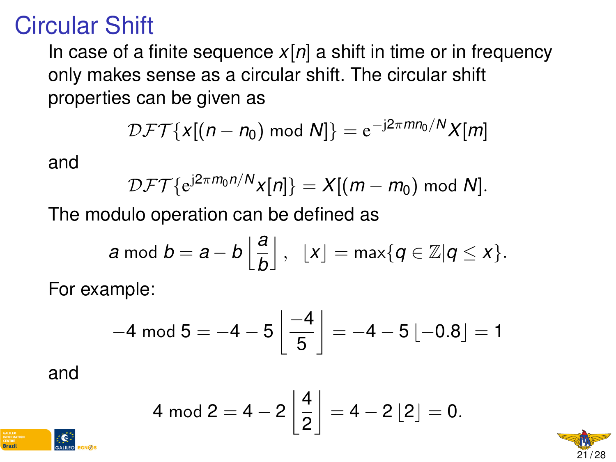#### Circular Shift

In case of a finite sequence  $x[n]$  a shift in time or in frequency only makes sense as a circular shift. The circular shift properties can be given as

$$
\mathcal{DFT}\{X[(n-n_0) \bmod N]\} = e^{-j2\pi mn_0/N}X[m]
$$

and

$$
\mathcal{DFT}\{e^{j2\pi m_0 n/N}x[n]\}=X[(m-m_0) \bmod N].
$$

The modulo operation can be defined as

$$
a \bmod b = a - b \left\lfloor \frac{a}{b} \right\rfloor, \ \ \lfloor x \rfloor = \max\{q \in \mathbb{Z} | q \leq x\}.
$$

For example:

$$
-4 \mod 5 = -4 - 5 \left\lfloor \frac{-4}{5} \right\rfloor = -4 - 5 \left\lfloor -0.8 \right\rfloor = 1
$$

and

**Rrazi** 

$$
4 \mod 2 = 4 - 2 \left \lfloor \frac{4}{2} \right \rfloor = 4 - 2 \left \lfloor 2 \right \rfloor = 0.
$$

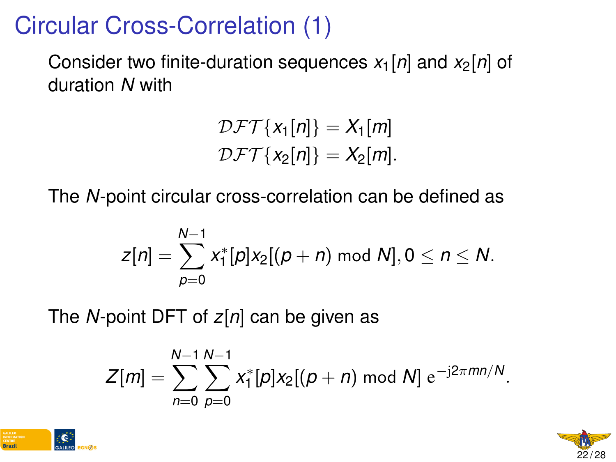# Circular Cross-Correlation (1)

Consider two finite-duration sequences  $x_1[n]$  and  $x_2[n]$  of duration *N* with

$$
\mathcal{DFT}{x_1[n]} = X_1[m]
$$
  

$$
\mathcal{DFT}{x_2[n]} = X_2[m].
$$

The *N*-point circular cross-correlation can be defined as

$$
Z[n] = \sum_{p=0}^{N-1} x_1^*[p]x_2[(p+n) \bmod N], 0 \le n \le N.
$$

The *N*-point DFT of *z*[*n*] can be given as

$$
Z[m] = \sum_{n=0}^{N-1} \sum_{p=0}^{N-1} x_1^*[p] x_2[(p+n) \bmod N] e^{-j2\pi mn/N}.
$$



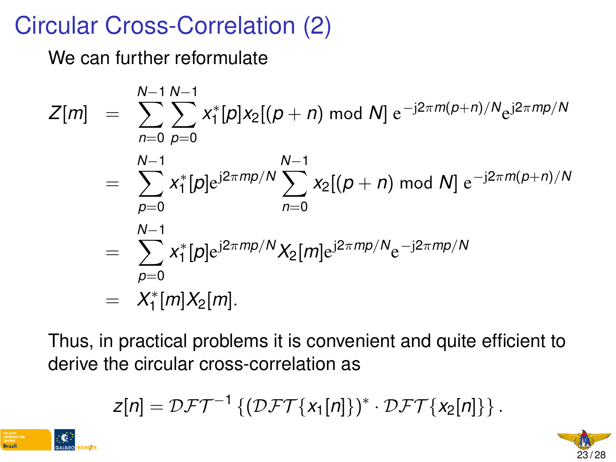# Circular Cross-Correlation (2)

We can further reformulate

$$
Z[m] = \sum_{n=0}^{N-1} \sum_{p=0}^{N-1} x_1^*[p] x_2 [(p+n) \bmod N] e^{-j2\pi m (p+n)/N} e^{j2\pi m p/N}
$$
  
= 
$$
\sum_{p=0}^{N-1} x_1^*[p] e^{j2\pi m p/N} \sum_{n=0}^{N-1} x_2 [(p+n) \bmod N] e^{-j2\pi m (p+n)/N}
$$
  
= 
$$
\sum_{p=0}^{N-1} x_1^*[p] e^{j2\pi m p/N} X_2[m] e^{j2\pi m p/N} e^{-j2\pi m p/N}
$$
  
= 
$$
X_1^*[m] X_2[m].
$$

Thus, in practical problems it is convenient and quite efficient to derive the circular cross-correlation as

$$
Z[n] = DFT^{-1}\left\{ (DFT\{x_1[n]\})^* \cdot DFT\{x_2[n]\} \right\}.
$$



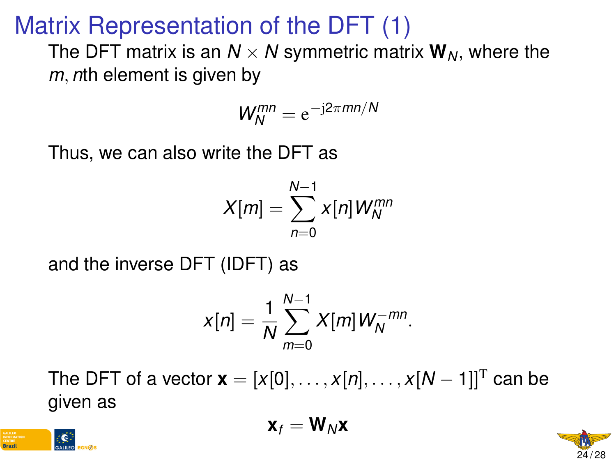## Matrix Representation of the DFT (1)

The DFT matrix is an  $N \times N$  symmetric matrix  $W_N$ , where the *m*, *n*th element is given by

$$
W_N^{mn} = e^{-j2\pi mn/N}
$$

Thus, we can also write the DFT as

$$
X[m] = \sum_{n=0}^{N-1} x[n] W_N^{mn}
$$

and the inverse DFT (IDFT) as

$$
x[n] = \frac{1}{N} \sum_{m=0}^{N-1} X[m] W_N^{-mn}.
$$

The DFT of a vector  $\mathbf{x} = [x[0], \dots, x[n], \dots, x[N-1]]^T$  can be given as

$$
\mathbf{x}_f = \mathbf{W}_N \mathbf{x}
$$



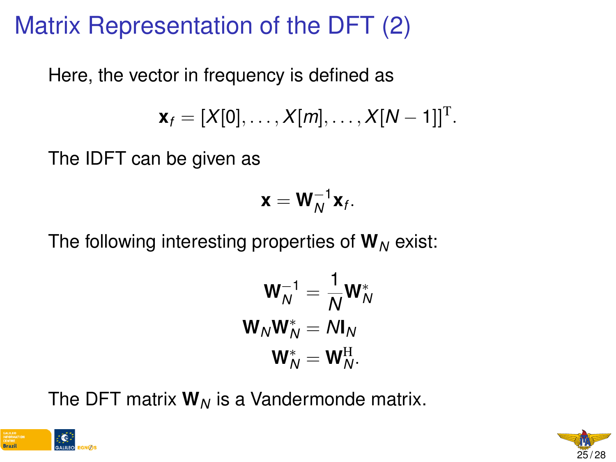# Matrix Representation of the DFT (2)

Here, the vector in frequency is defined as

$$
\mathbf{x}_f = [X[0], \ldots, X[m], \ldots, X[N-1]]^{\mathrm{T}}.
$$

The IDFT can be given as

$$
\mathbf{x} = \mathbf{W}_N^{-1} \mathbf{x}_f.
$$

The following interesting properties of  $W_N$  exist:

$$
\mathbf{W}_N^{-1} = \frac{1}{N} \mathbf{W}_N^*
$$

$$
\mathbf{W}_N \mathbf{W}_N^* = N \mathbf{I}_N
$$

$$
\mathbf{W}_N^* = \mathbf{W}_N^{\mathrm{H}}.
$$

The DFT matrix  $W_N$  is a Vandermonde matrix.



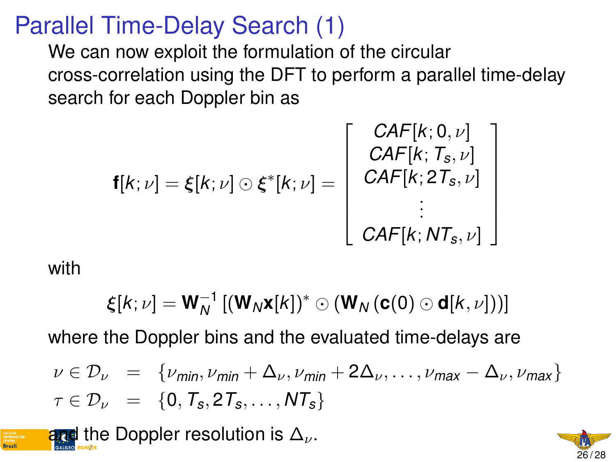#### Parallel Time-Delay Search (1)

We can now exploit the formulation of the circular cross-correlation using the DFT to perform a parallel time-delay search for each Doppler bin as

$$
\mathbf{f}[k; \nu] = \xi[k; \nu] \odot \xi^*[k; \nu] = \begin{bmatrix} \text{CAF}[k; 0, \nu] \\ \text{CAF}[k; T_s, \nu] \\ \text{CAF}[k; 2T_s, \nu] \\ \vdots \\ \text{CAF}[k; NT_s, \nu] \end{bmatrix}
$$

with

$$
\boldsymbol{\xi}[k;\nu]=\mathbf{W}_N^{-1}\left[(\mathbf{W}_N\mathbf{x}[k])^*\odot(\mathbf{W}_N\left(\mathbf{c}(0)\odot\mathbf{d}[k,\nu]\right))\right]
$$

where the Doppler bins and the evaluated time-delays are

$$
\nu \in \mathcal{D}_{\nu} = \{ \nu_{\text{min}}, \nu_{\text{min}} + \Delta_{\nu}, \nu_{\text{min}} + 2\Delta_{\nu}, \dots, \nu_{\text{max}} - \Delta_{\nu}, \nu_{\text{max}} \}
$$
  

$$
\tau \in \mathcal{D}_{\nu} = \{0, T_{s}, 2T_{s}, \dots, NT_{s}\}
$$

and the Doppler resolution is  $\Delta_{\nu}$ .

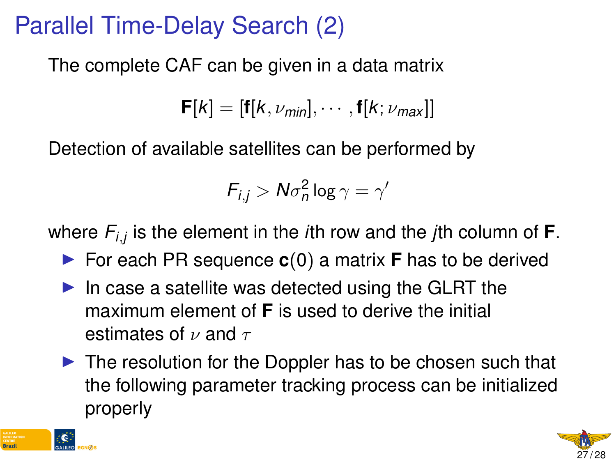# Parallel Time-Delay Search (2)

The complete CAF can be given in a data matrix

 $$ 

Detection of available satellites can be performed by

$$
F_{i,j} > N\sigma_n^2 \log \gamma = \gamma'
$$

where *Fi*,*<sup>j</sup>* is the element in the *i*th row and the *j*th column of **F**.

- ▶ For each PR sequence **c**(0) a matrix **F** has to be derived
- $\blacktriangleright$  In case a satellite was detected using the GLRT the maximum element of **F** is used to derive the initial estimates of  $\nu$  and  $\tau$
- $\triangleright$  The resolution for the Doppler has to be chosen such that the following parameter tracking process can be initialized properly